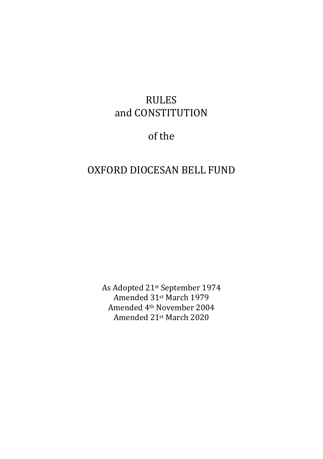## RULES and CONSTITUTION

## of the

## OXFORD DIOCESAN BELL FUND

As Adopted 21st September 1974 Amended 31st March 1979 Amended 4th November 2004 Amended 21st March 2020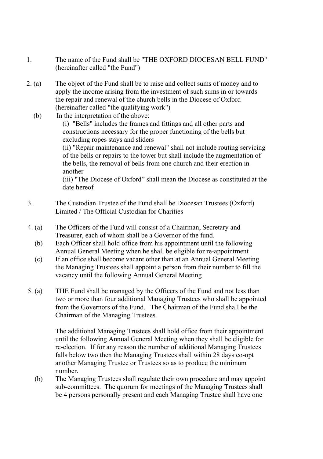- 1. The name of the Fund shall be "THE OXFORD DIOCESAN BELL FUND" (hereinafter called "the Fund")
- 2. (a) The object of the Fund shall be to raise and collect sums of money and to apply the income arising from the investment of such sums in or towards the repair and renewal of the church bells in the Diocese of Oxford (hereinafter called "the qualifying work")
	- (b) In the interpretation of the above:

 (i) "Bells" includes the frames and fittings and all other parts and constructions necessary for the proper functioning of the bells but excluding ropes stays and sliders

 (ii) "Repair maintenance and renewal" shall not include routing servicing of the bells or repairs to the tower but shall include the augmentation of the bells, the removal of bells from one church and their erection in another

 (iii) "The Diocese of Oxford" shall mean the Diocese as constituted at the date hereof

- 3. The Custodian Trustee of the Fund shall be Diocesan Trustees (Oxford) Limited / The Official Custodian for Charities
- 4. (a) The Officers of the Fund will consist of a Chairman, Secretary and Treasurer, each of whom shall be a Governor of the fund.
	- (b) Each Officer shall hold office from his appointment until the following Annual General Meeting when he shall be eligible for re-appointment
	- (c) If an office shall become vacant other than at an Annual General Meeting the Managing Trustees shall appoint a person from their number to fill the vacancy until the following Annual General Meeting
- 5. (a) THE Fund shall be managed by the Officers of the Fund and not less than two or more than four additional Managing Trustees who shall be appointed from the Governors of the Fund. The Chairman of the Fund shall be the Chairman of the Managing Trustees.

 The additional Managing Trustees shall hold office from their appointment until the following Annual General Meeting when they shall be eligible for re-election. If for any reason the number of additional Managing Trustees falls below two then the Managing Trustees shall within 28 days co-opt another Managing Trustee or Trustees so as to produce the minimum number.

 (b) The Managing Trustees shall regulate their own procedure and may appoint sub-committees. The quorum for meetings of the Managing Trustees shall be 4 persons personally present and each Managing Trustee shall have one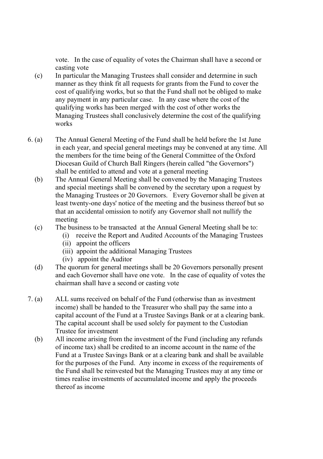vote. In the case of equality of votes the Chairman shall have a second or casting vote

- (c) In particular the Managing Trustees shall consider and determine in such manner as they think fit all requests for grants from the Fund to cover the cost of qualifying works, but so that the Fund shall not be obliged to make any payment in any particular case. In any case where the cost of the qualifying works has been merged with the cost of other works the Managing Trustees shall conclusively determine the cost of the qualifying works
- 6. (a) The Annual General Meeting of the Fund shall be held before the 1st June in each year, and special general meetings may be convened at any time. All the members for the time being of the General Committee of the Oxford Diocesan Guild of Church Ball Ringers (herein called "the Governors") shall be entitled to attend and vote at a general meeting
	- (b) The Annual General Meeting shall be convened by the Managing Trustees and special meetings shall be convened by the secretary upon a request by the Managing Trustees or 20 Governors. Every Governor shall be given at least twenty-one days' notice of the meeting and the business thereof but so that an accidental omission to notify any Governor shall not nullify the meeting
	- (c) The business to be transacted at the Annual General Meeting shall be to:
		- (i) receive the Report and Audited Accounts of the Managing Trustees
		- (ii) appoint the officers
		- (iii) appoint the additional Managing Trustees
		- (iv) appoint the Auditor
	- (d) The quorum for general meetings shall be 20 Governors personally present and each Governor shall have one vote. In the case of equality of votes the chairman shall have a second or casting vote
- 7. (a) ALL sums received on behalf of the Fund (otherwise than as investment income) shall be handed to the Treasurer who shall pay the same into a capital account of the Fund at a Trustee Savings Bank or at a clearing bank. The capital account shall be used solely for payment to the Custodian Trustee for investment
	- (b) All income arising from the investment of the Fund (including any refunds of income tax) shall be credited to an income account in the name of the Fund at a Trustee Savings Bank or at a clearing bank and shall be available for the purposes of the Fund. Any income in excess of the requirements of the Fund shall be reinvested but the Managing Trustees may at any time or times realise investments of accumulated income and apply the proceeds thereof as income